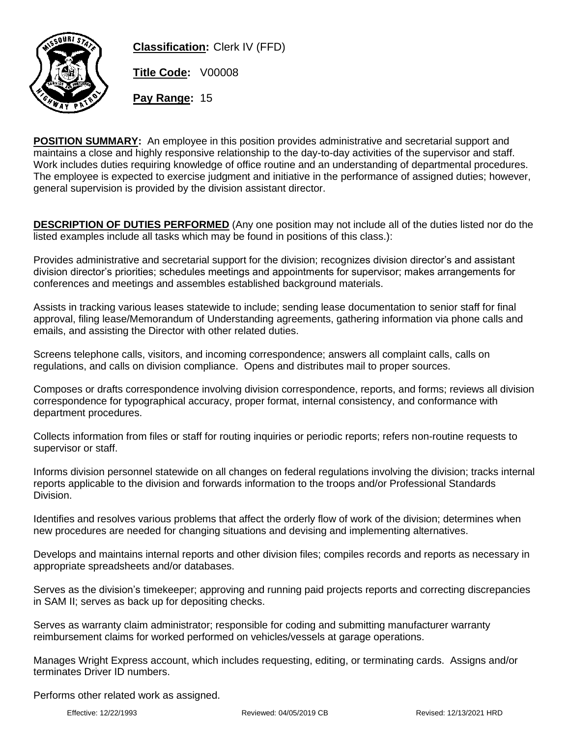

**Classification:** Clerk IV (FFD)

**Title Code:** V00008

**Pay Range:** 15

**POSITION SUMMARY:** An employee in this position provides administrative and secretarial support and maintains a close and highly responsive relationship to the day-to-day activities of the supervisor and staff. Work includes duties requiring knowledge of office routine and an understanding of departmental procedures. The employee is expected to exercise judgment and initiative in the performance of assigned duties; however, general supervision is provided by the division assistant director.

**DESCRIPTION OF DUTIES PERFORMED** (Any one position may not include all of the duties listed nor do the listed examples include all tasks which may be found in positions of this class.):

Provides administrative and secretarial support for the division; recognizes division director's and assistant division director's priorities; schedules meetings and appointments for supervisor; makes arrangements for conferences and meetings and assembles established background materials.

Assists in tracking various leases statewide to include; sending lease documentation to senior staff for final approval, filing lease/Memorandum of Understanding agreements, gathering information via phone calls and emails, and assisting the Director with other related duties.

Screens telephone calls, visitors, and incoming correspondence; answers all complaint calls, calls on regulations, and calls on division compliance. Opens and distributes mail to proper sources.

Composes or drafts correspondence involving division correspondence, reports, and forms; reviews all division correspondence for typographical accuracy, proper format, internal consistency, and conformance with department procedures.

Collects information from files or staff for routing inquiries or periodic reports; refers non-routine requests to supervisor or staff.

Informs division personnel statewide on all changes on federal regulations involving the division; tracks internal reports applicable to the division and forwards information to the troops and/or Professional Standards Division.

Identifies and resolves various problems that affect the orderly flow of work of the division; determines when new procedures are needed for changing situations and devising and implementing alternatives.

Develops and maintains internal reports and other division files; compiles records and reports as necessary in appropriate spreadsheets and/or databases.

Serves as the division's timekeeper; approving and running paid projects reports and correcting discrepancies in SAM II; serves as back up for depositing checks.

Serves as warranty claim administrator; responsible for coding and submitting manufacturer warranty reimbursement claims for worked performed on vehicles/vessels at garage operations.

Manages Wright Express account, which includes requesting, editing, or terminating cards. Assigns and/or terminates Driver ID numbers.

Performs other related work as assigned.